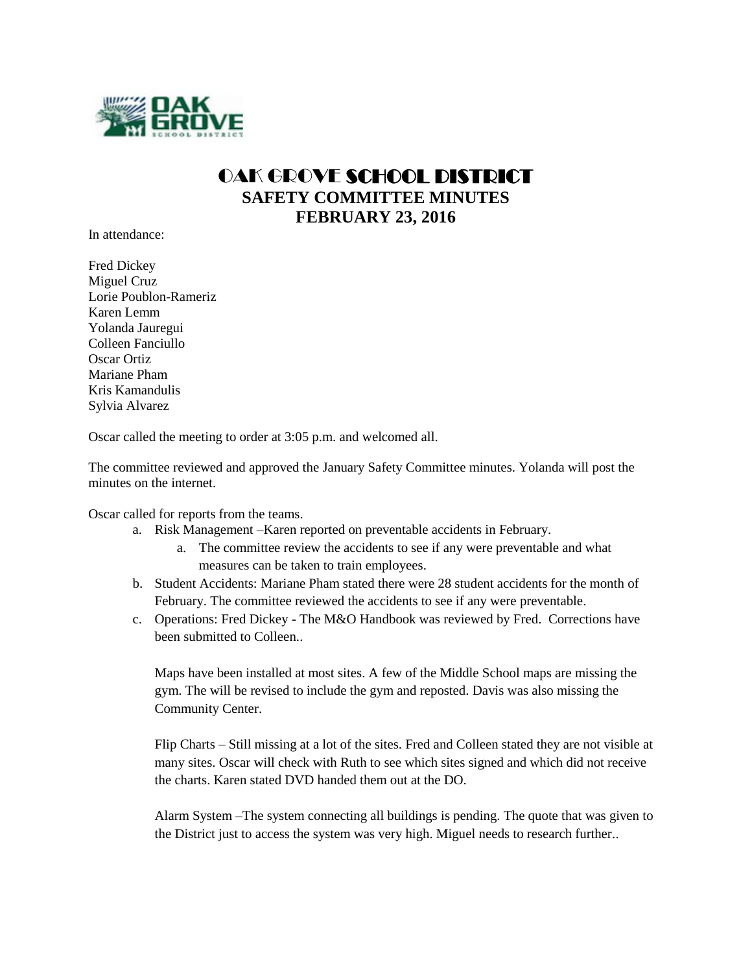

## OAK GROVE SCHOOL DISTRICT **SAFETY COMMITTEE MINUTES FEBRUARY 23, 2016**

In attendance:

Fred Dickey Miguel Cruz Lorie Poublon-Rameriz Karen Lemm Yolanda Jauregui Colleen Fanciullo Oscar Ortiz Mariane Pham Kris Kamandulis Sylvia Alvarez

Oscar called the meeting to order at 3:05 p.m. and welcomed all.

The committee reviewed and approved the January Safety Committee minutes. Yolanda will post the minutes on the internet.

Oscar called for reports from the teams.

- a. Risk Management –Karen reported on preventable accidents in February.
	- a. The committee review the accidents to see if any were preventable and what measures can be taken to train employees.
- b. Student Accidents: Mariane Pham stated there were 28 student accidents for the month of February. The committee reviewed the accidents to see if any were preventable.
- c. Operations: Fred Dickey The M&O Handbook was reviewed by Fred. Corrections have been submitted to Colleen.

Maps have been installed at most sites. A few of the Middle School maps are missing the gym. The will be revised to include the gym and reposted. Davis was also missing the Community Center.

Flip Charts – Still missing at a lot of the sites. Fred and Colleen stated they are not visible at many sites. Oscar will check with Ruth to see which sites signed and which did not receive the charts. Karen stated DVD handed them out at the DO.

Alarm System –The system connecting all buildings is pending. The quote that was given to the District just to access the system was very high. Miguel needs to research further..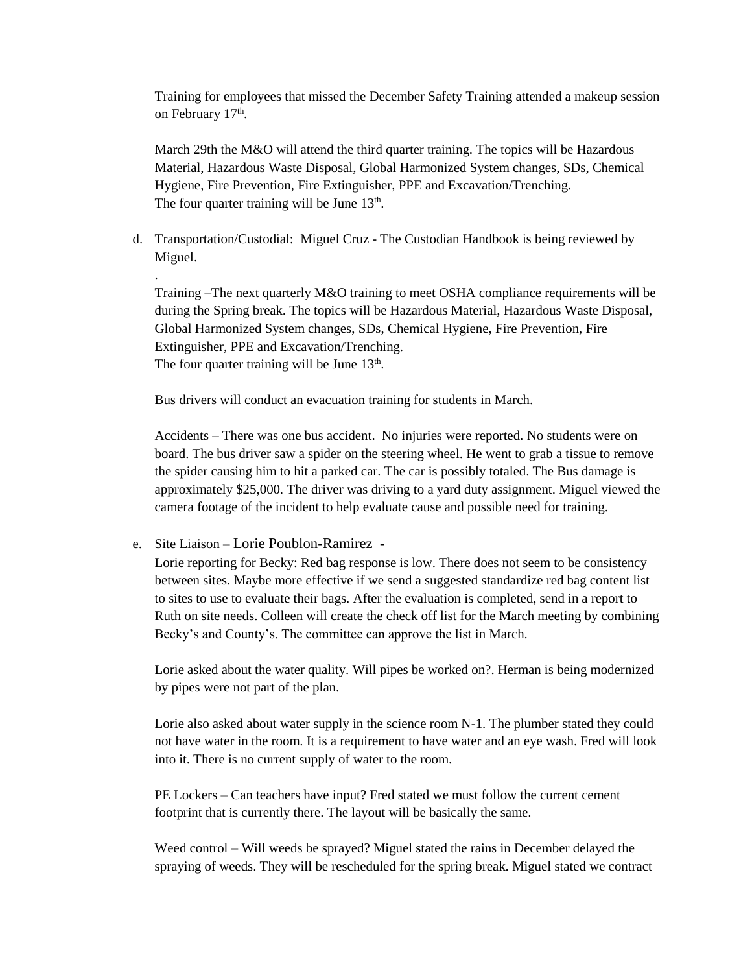Training for employees that missed the December Safety Training attended a makeup session on February 17<sup>th</sup>.

March 29th the M&O will attend the third quarter training. The topics will be Hazardous Material, Hazardous Waste Disposal, Global Harmonized System changes, SDs, Chemical Hygiene, Fire Prevention, Fire Extinguisher, PPE and Excavation/Trenching. The four quarter training will be June 13<sup>th</sup>.

d. Transportation/Custodial: Miguel Cruz - The Custodian Handbook is being reviewed by Miguel.

Training –The next quarterly M&O training to meet OSHA compliance requirements will be during the Spring break. The topics will be Hazardous Material, Hazardous Waste Disposal, Global Harmonized System changes, SDs, Chemical Hygiene, Fire Prevention, Fire Extinguisher, PPE and Excavation/Trenching. The four quarter training will be June 13<sup>th</sup>.

Bus drivers will conduct an evacuation training for students in March.

Accidents – There was one bus accident. No injuries were reported. No students were on board. The bus driver saw a spider on the steering wheel. He went to grab a tissue to remove the spider causing him to hit a parked car. The car is possibly totaled. The Bus damage is approximately \$25,000. The driver was driving to a yard duty assignment. Miguel viewed the camera footage of the incident to help evaluate cause and possible need for training.

e. Site Liaison – Lorie Poublon-Ramirez -

.

Lorie reporting for Becky: Red bag response is low. There does not seem to be consistency between sites. Maybe more effective if we send a suggested standardize red bag content list to sites to use to evaluate their bags. After the evaluation is completed, send in a report to Ruth on site needs. Colleen will create the check off list for the March meeting by combining Becky's and County's. The committee can approve the list in March.

Lorie asked about the water quality. Will pipes be worked on?. Herman is being modernized by pipes were not part of the plan.

Lorie also asked about water supply in the science room N-1. The plumber stated they could not have water in the room. It is a requirement to have water and an eye wash. Fred will look into it. There is no current supply of water to the room.

PE Lockers – Can teachers have input? Fred stated we must follow the current cement footprint that is currently there. The layout will be basically the same.

Weed control – Will weeds be sprayed? Miguel stated the rains in December delayed the spraying of weeds. They will be rescheduled for the spring break. Miguel stated we contract